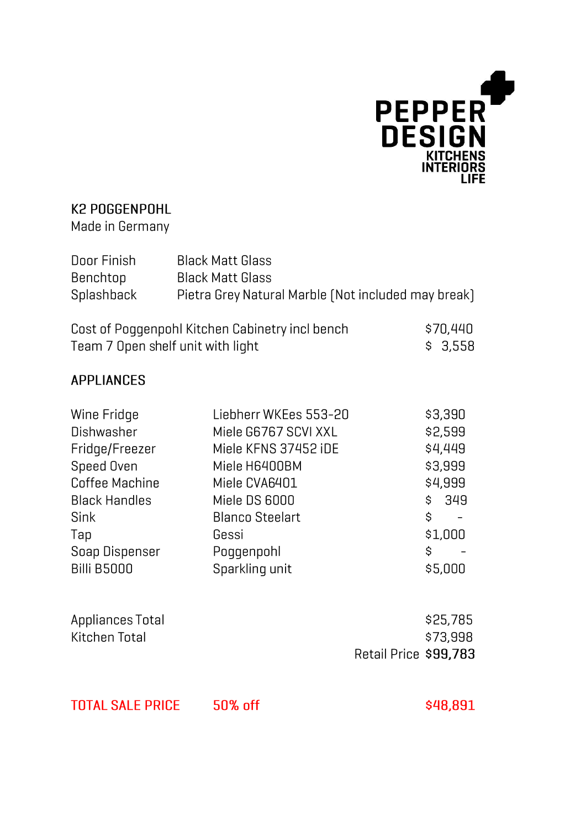

## K2 POGGENPOHL

Made in Germany

| Door Finish | <b>Black Matt Glass</b>                             |
|-------------|-----------------------------------------------------|
| Benchtop    | <b>Black Matt Glass</b>                             |
| Splashback  | Pietra Grey Natural Marble (Not included may break) |

| Cost of Poggenpohl Kitchen Cabinetry incl bench | \$70,440 |
|-------------------------------------------------|----------|
| Team 7 Open shelf unit with light               | \$3,558  |

## **APPLIANCES**

| Wine Fridge          | Liebherr WKEes 553-20  | \$3,390  |
|----------------------|------------------------|----------|
| <b>Dishwasher</b>    | Miele G6767 SCVI XXL   | \$2,599  |
| Fridge/Freezer       | Miele KFNS 37452 iDE   | \$4,449  |
| Speed Oven           | Miele H6400BM          | \$3,999  |
| Coffee Machine       | Miele CVA6401          | \$4,999  |
| <b>Black Handles</b> | Miele DS 6000          | \$349    |
| Sink                 | <b>Blanco Steelart</b> | \$       |
| Tap                  | Gessi                  | \$1,000  |
| Soap Dispenser       | Poggenpohl             | \$       |
| <b>Billi B5000</b>   | Sparkling unit         | \$5,000  |
|                      |                        |          |
| Appliances Total     |                        | \$25,785 |

| Appliances Total |                       | \$25,785 |
|------------------|-----------------------|----------|
| Kitchen Total    |                       | \$73.998 |
|                  | Retail Price \$99.783 |          |

**TOTAL SALE PRICE 50% off** 

\$48,891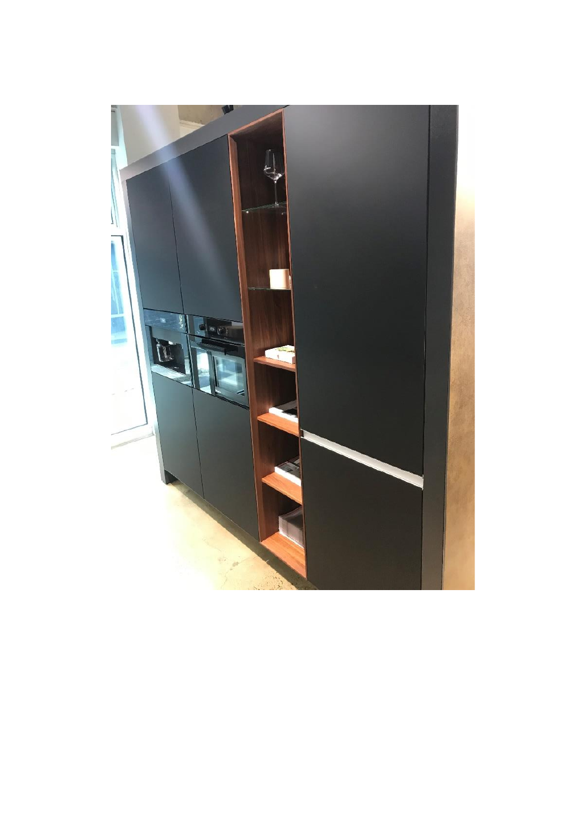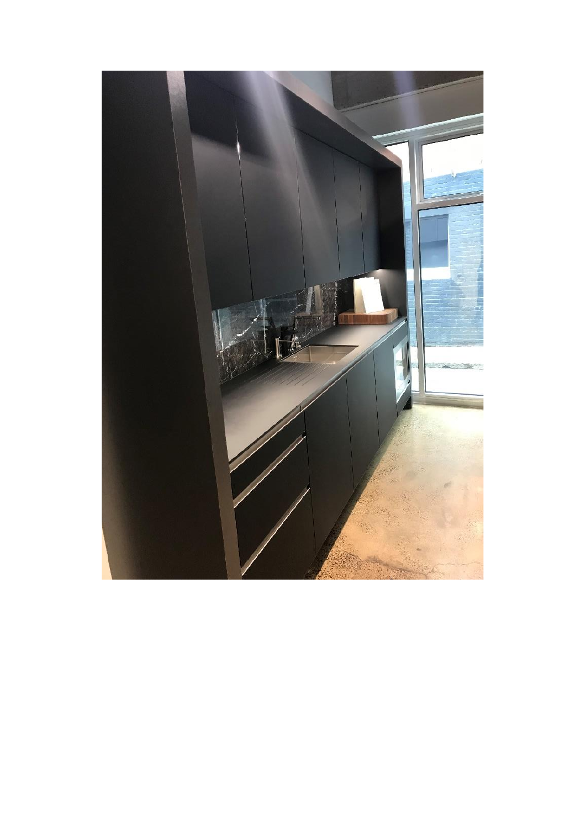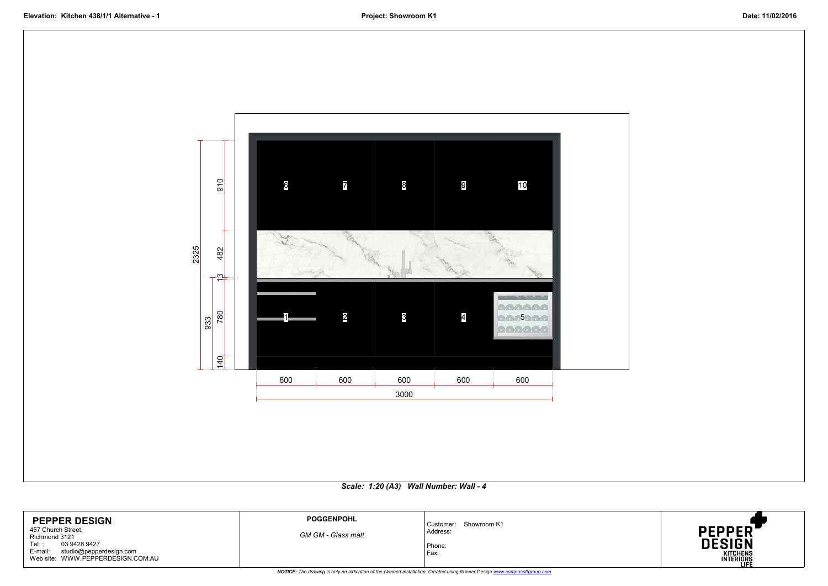*Scale: 1:20 (A3) Wall Number: Wall - 4*

| <b>PEPPER DESIGN</b> |  |
|----------------------|--|
|----------------------|--|

457 Church Street, Richmond 3121 Tel. : 03 9428 9427<br>E-mail: studio@peppe E-mail: studio@pepperdesign.com Web site: WWW.PEPPERDESIGN.COM.AU

## **POGGENPOHL**

*GM GM - Glass matt*

Customer: Showroom K1 Address:

Phone: Fax:



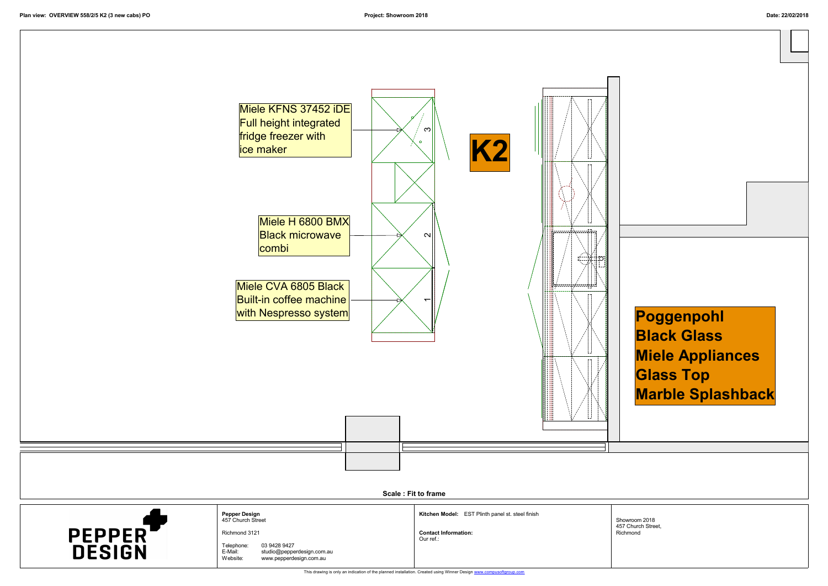

Telephone: 03 9428 9427<br>E-Mail: studio@peppe E-Mail: studio@pepperdesign.com.au www.pepperdesign.com.au

This drawing is only an indication of the planned installation. Created using Winner Design www.compusoftgroup.com

Our ref.:

Showroom 2018 457 Church Street, Richmond